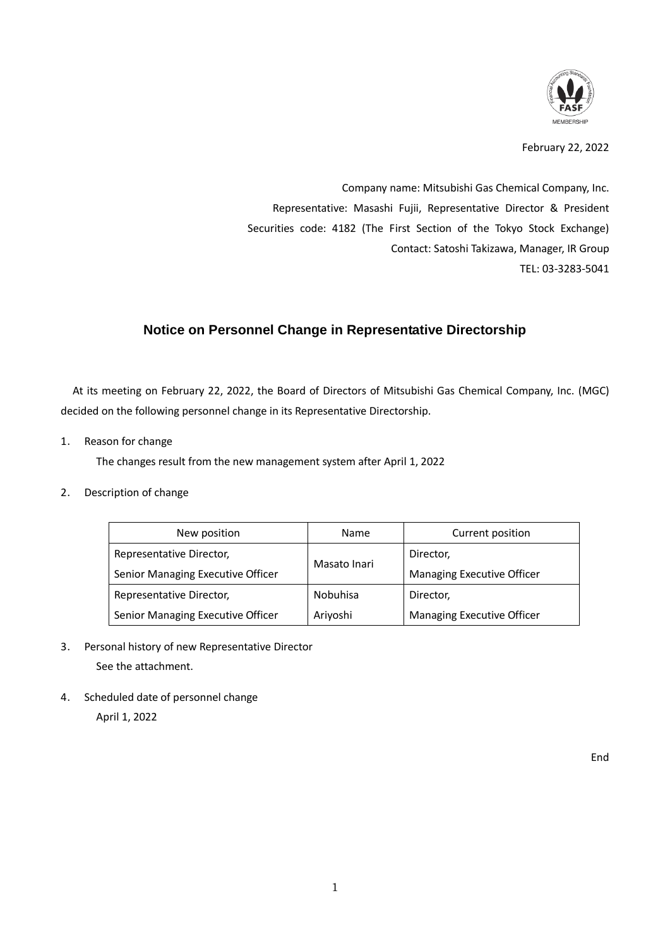

February 22, 2022

Company name: Mitsubishi Gas Chemical Company, Inc. Representative: Masashi Fujii, Representative Director & President Securities code: 4182 (The First Section of the Tokyo Stock Exchange) Contact: Satoshi Takizawa, Manager, IR Group TEL: 03-3283-5041

## **Notice on Personnel Change in Representative Directorship**

At its meeting on February 22, 2022, the Board of Directors of Mitsubishi Gas Chemical Company, Inc. (MGC) decided on the following personnel change in its Representative Directorship.

1. Reason for change

The changes result from the new management system after April 1, 2022

2. Description of change

| New position                      |                                   | Name         | Current position           |
|-----------------------------------|-----------------------------------|--------------|----------------------------|
| Representative Director,          |                                   | Director,    |                            |
| Senior Managing Executive Officer |                                   | Masato Inari | Managing Executive Officer |
| Representative Director,          |                                   | Nobuhisa     | Director,                  |
|                                   | Senior Managing Executive Officer | Ariyoshi     | Managing Executive Officer |

- 3. Personal history of new Representative Director See the attachment.
- 4. Scheduled date of personnel change

April 1, 2022

End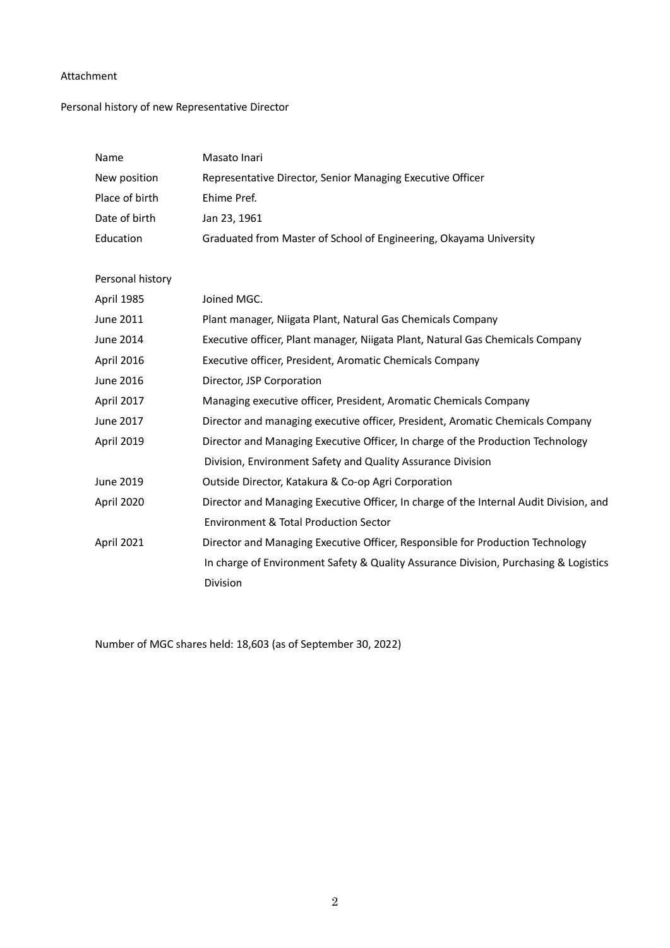## Attachment

## Personal history of new Representative Director

| Name             | Masato Inari                                                                           |
|------------------|----------------------------------------------------------------------------------------|
| New position     | Representative Director, Senior Managing Executive Officer                             |
| Place of birth   | Ehime Pref.                                                                            |
| Date of birth    | Jan 23, 1961                                                                           |
| Education        | Graduated from Master of School of Engineering, Okayama University                     |
|                  |                                                                                        |
| Personal history |                                                                                        |
| April 1985       | Joined MGC.                                                                            |
| June 2011        | Plant manager, Niigata Plant, Natural Gas Chemicals Company                            |
| June 2014        | Executive officer, Plant manager, Niigata Plant, Natural Gas Chemicals Company         |
| April 2016       | Executive officer, President, Aromatic Chemicals Company                               |
| June 2016        | Director, JSP Corporation                                                              |
| April 2017       | Managing executive officer, President, Aromatic Chemicals Company                      |
| June 2017        | Director and managing executive officer, President, Aromatic Chemicals Company         |
| April 2019       | Director and Managing Executive Officer, In charge of the Production Technology        |
|                  | Division, Environment Safety and Quality Assurance Division                            |
| June 2019        | Outside Director, Katakura & Co-op Agri Corporation                                    |
| April 2020       | Director and Managing Executive Officer, In charge of the Internal Audit Division, and |
|                  | <b>Environment &amp; Total Production Sector</b>                                       |
| April 2021       | Director and Managing Executive Officer, Responsible for Production Technology         |
|                  | In charge of Environment Safety & Quality Assurance Division, Purchasing & Logistics   |
|                  | Division                                                                               |

Number of MGC shares held: 18,603 (as of September 30, 2022)